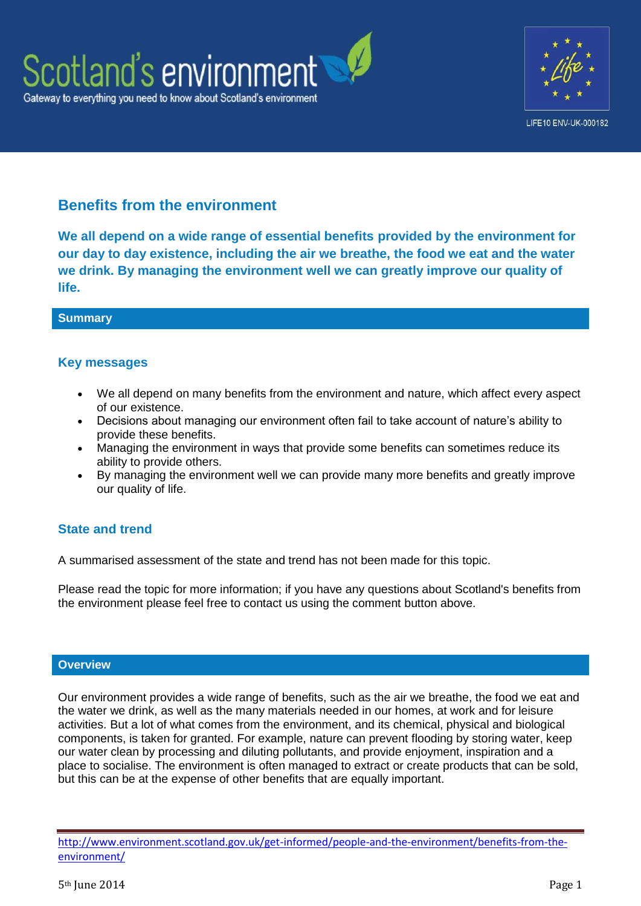



# **Benefits from the environment**

**We all depend on a wide range of essential benefits provided by the environment for our day to day existence, including the air we breathe, the food we eat and the water we drink. By managing the environment well we can greatly improve our quality of life.**

## **Summary**

# **Key messages**

- We all depend on many benefits from the environment and nature, which affect every aspect of our existence.
- Decisions about managing our environment often fail to take account of nature's ability to provide these benefits.
- Managing the environment in ways that provide some benefits can sometimes reduce its ability to provide others.
- By managing the environment well we can provide many more benefits and greatly improve our quality of life.

# **State and trend**

A summarised assessment of the state and trend has not been made for this topic.

Please read the topic for more information; if you have any questions about Scotland's benefits from the environment please feel free to contact us using the comment button above.

## **Overview**

Our environment provides a wide range of benefits, such as the air we breathe, the food we eat and the water we drink, as well as the many materials needed in our homes, at work and for leisure activities. But a lot of what comes from the environment, and its chemical, physical and biological components, is taken for granted. For example, nature can prevent flooding by storing water, keep our water clean by processing and diluting pollutants, and provide enjoyment, inspiration and a place to socialise. The environment is often managed to extract or create products that can be sold, but this can be at the expense of other benefits that are equally important.

[http://www.environment.scotland.gov.uk/get-informed/people-and-the-environment/benefits-from-the](http://www.environment.scotland.gov.uk/get-informed/people-and-the-environment/benefits-from-the-environment/)[environment/](http://www.environment.scotland.gov.uk/get-informed/people-and-the-environment/benefits-from-the-environment/)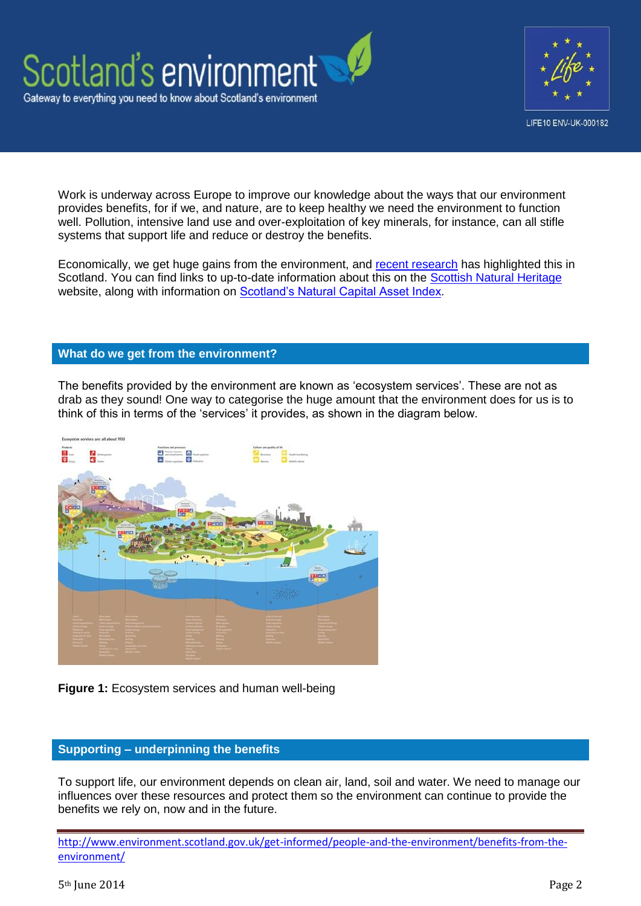



Work is underway across Europe to improve our knowledge about the ways that our environment provides benefits, for if we, and nature, are to keep healthy we need the environment to function well. Pollution, intensive land use and over-exploitation of key minerals, for instance, can all stifle systems that support life and reduce or destroy the benefits.

Economically, we get huge gains from the environment, and [recent research](http://www.snh.gov.uk/docs/B313698.pdf) has highlighted this in Scotland. You can find links to up-to-date information about this on the [Scottish Natural Heritage](http://www.snh.gov.uk/planning-and-development/economic-value/) website, along with information on [Scotland's Natural Capital Asset Index.](http://www.snh.gov.uk/docs/B814140.pdf)

## **What do we get from the environment?**

The benefits provided by the environment are known as 'ecosystem services'. These are not as drab as they sound! One way to categorise the huge amount that the environment does for us is to think of this in terms of the 'services' it provides, as shown in the diagram below.





#### **Supporting – underpinning the benefits**

To support life, our environment depends on clean air, land, soil and water. We need to manage our influences over these resources and protect them so the environment can continue to provide the benefits we rely on, now and in the future.

[http://www.environment.scotland.gov.uk/get-informed/people-and-the-environment/benefits-from-the](http://www.environment.scotland.gov.uk/get-informed/people-and-the-environment/benefits-from-the-environment/)[environment/](http://www.environment.scotland.gov.uk/get-informed/people-and-the-environment/benefits-from-the-environment/)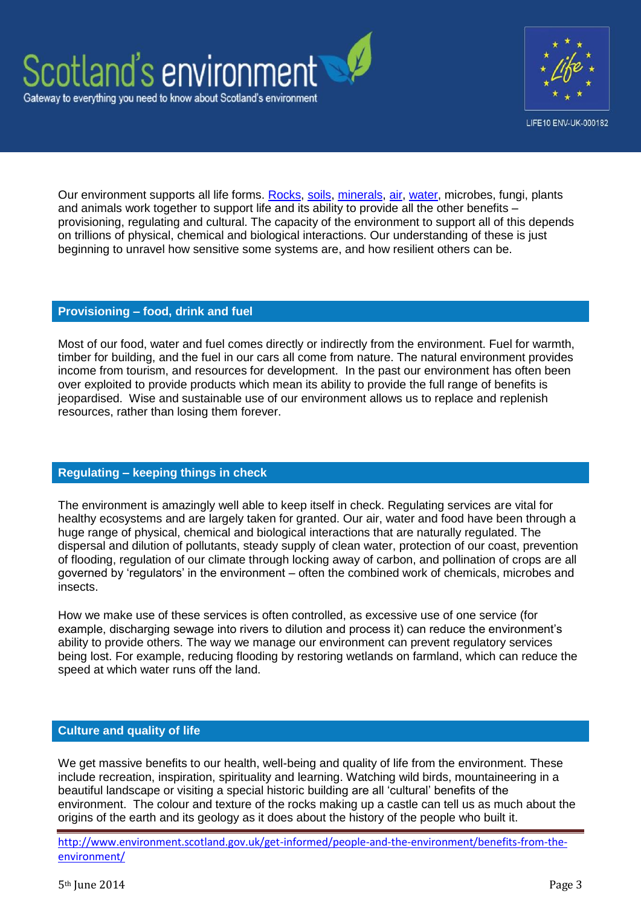



Our environment supports all life forms. [Rocks,](http://www.environment.scotland.gov.uk/get-informed/land/rocks-and-landforms/) [soils,](http://www.environment.scotland.gov.uk/get-informed/land/soils/) [minerals,](http://www.environment.scotland.gov.uk/get-informed/land/fossil-fuels-and-minerals/) [air,](http://www.environment.scotland.gov.uk/get-informed/air/) [water,](http://www.environment.scotland.gov.uk/get-informed/water/) microbes, fungi, plants and animals work together to support life and its ability to provide all the other benefits – provisioning, regulating and cultural. The capacity of the environment to support all of this depends on trillions of physical, chemical and biological interactions. Our understanding of these is just beginning to unravel how sensitive some systems are, and how resilient others can be.

## **Provisioning – food, drink and fuel**

Most of our food, water and fuel comes directly or indirectly from the environment. Fuel for warmth, timber for building, and the fuel in our cars all come from nature. The natural environment provides income from tourism, and resources for development. In the past our environment has often been over exploited to provide products which mean its ability to provide the full range of benefits is jeopardised. Wise and sustainable use of our environment allows us to replace and replenish resources, rather than losing them forever.

#### **Regulating – keeping things in check**

The environment is amazingly well able to keep itself in check. Regulating services are vital for healthy ecosystems and are largely taken for granted. Our air, water and food have been through a huge range of physical, chemical and biological interactions that are naturally regulated. The dispersal and dilution of pollutants, steady supply of clean water, protection of our coast, prevention of flooding, regulation of our climate through locking away of carbon, and pollination of crops are all governed by 'regulators' in the environment – often the combined work of chemicals, microbes and insects.

How we make use of these services is often controlled, as excessive use of one service (for example, discharging sewage into rivers to dilution and process it) can reduce the environment's ability to provide others. The way we manage our environment can prevent regulatory services being lost. For example, reducing flooding by restoring wetlands on farmland, which can reduce the speed at which water runs off the land.

# **Culture and quality of life**

We get massive benefits to our health, well-being and quality of life from the environment. These include recreation, inspiration, spirituality and learning. Watching wild birds, mountaineering in a beautiful landscape or visiting a special historic building are all 'cultural' benefits of the environment. The colour and texture of the rocks making up a castle can tell us as much about the origins of the earth and its geology as it does about the history of the people who built it.

[http://www.environment.scotland.gov.uk/get-informed/people-and-the-environment/benefits-from-the](http://www.environment.scotland.gov.uk/get-informed/people-and-the-environment/benefits-from-the-environment/)[environment/](http://www.environment.scotland.gov.uk/get-informed/people-and-the-environment/benefits-from-the-environment/)